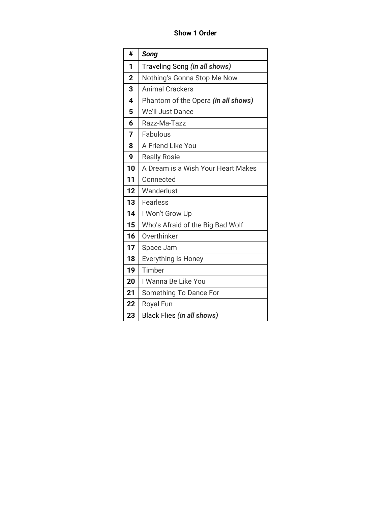**Show 1 Order**

| #                       | Song                                 |
|-------------------------|--------------------------------------|
| 1                       | Traveling Song <i>(in all shows)</i> |
| $\overline{2}$          | Nothing's Gonna Stop Me Now          |
| 3                       | <b>Animal Crackers</b>               |
| $\overline{\mathbf{4}}$ | Phantom of the Opera (in all shows)  |
| 5                       | We'll Just Dance                     |
| 6                       | Razz-Ma-Tazz                         |
| 7                       | Fabulous                             |
| 8                       | A Friend Like You                    |
| 9                       | <b>Really Rosie</b>                  |
| 10                      | A Dream is a Wish Your Heart Makes   |
| 11                      | Connected                            |
| 12                      | Wanderlust                           |
| 13                      | <b>Fearless</b>                      |
| 14                      | I Won't Grow Up                      |
| 15                      | Who's Afraid of the Big Bad Wolf     |
| 16                      | Overthinker                          |
| 17                      | Space Jam                            |
| 18                      | Everything is Honey                  |
| 19                      | Timber                               |
| 20                      | I Wanna Be Like You                  |
| 21                      | Something To Dance For               |
| 22                      | <b>Royal Fun</b>                     |
| 23                      | Black Flies (in all shows)           |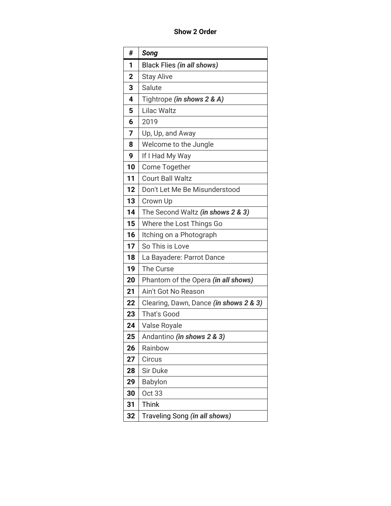**Show 2 Order**

| #              | Song                                   |
|----------------|----------------------------------------|
| 1              | Black Flies (in all shows)             |
| $\overline{2}$ | <b>Stay Alive</b>                      |
| 3              | Salute                                 |
| 4              | Tightrope (in shows 2 & A)             |
| 5              | <b>Lilac Waltz</b>                     |
| 6              | 2019                                   |
| 7              | Up, Up, and Away                       |
| 8              | Welcome to the Jungle                  |
| 9              | If I Had My Way                        |
| 10             | Come Together                          |
| 11             | <b>Court Ball Waltz</b>                |
| 12             | Don't Let Me Be Misunderstood          |
| 13             | Crown Up                               |
| 14             | The Second Waltz (in shows 2 & 3)      |
| 15             | Where the Lost Things Go               |
| 16             | Itching on a Photograph                |
| 17             | So This is Love                        |
| 18             | La Bayadere: Parrot Dance              |
| 19             | The Curse                              |
| 20             | Phantom of the Opera (in all shows)    |
| 21             | Ain't Got No Reason                    |
| 22             | Clearing, Dawn, Dance (in shows 2 & 3) |
| 23             | That's Good                            |
| 24             | Valse Royale                           |
| 25             | Andantino (in shows 2 & 3)             |
| 26             | Rainbow                                |
| 27             | Circus                                 |
| 28             | Sir Duke                               |
| 29             | Babylon                                |
| 30             | Oct 33                                 |
| 31             | Think                                  |
| 32             | Traveling Song (in all shows)          |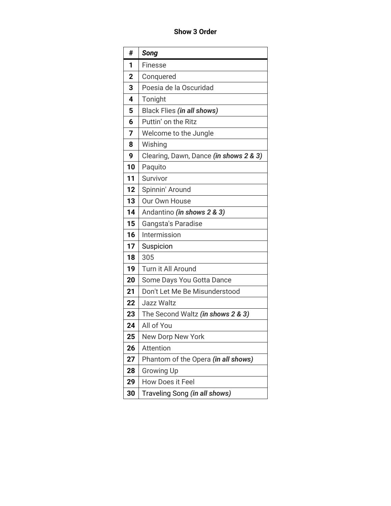## **Show 3 Order**

| #              | Song                                   |
|----------------|----------------------------------------|
| 1              | <b>Finesse</b>                         |
| $\overline{2}$ | Conquered                              |
| 3              | Poesia de la Oscuridad                 |
| 4              | Tonight                                |
| 5              | Black Flies (in all shows)             |
| 6              | Puttin' on the Ritz                    |
| 7              | Welcome to the Jungle                  |
| 8              | Wishing                                |
| 9              | Clearing, Dawn, Dance (in shows 2 & 3) |
| 10             | Paquito                                |
| 11             | Survivor                               |
| 12             | Spinnin' Around                        |
| 13             | Our Own House                          |
| 14             | Andantino (in shows 2 & 3)             |
| 15             | <b>Gangsta's Paradise</b>              |
| 16             | Intermission                           |
| 17             | Suspicion                              |
| 18             | 305                                    |
| 19             | Turn it All Around                     |
| 20             | Some Days You Gotta Dance              |
| 21             | Don't Let Me Be Misunderstood          |
| 22             | Jazz Waltz                             |
| 23             | The Second Waltz (in shows 2 & 3)      |
| 24             | All of You                             |
| 25             | <b>New Dorp New York</b>               |
| 26             | Attention                              |
| 27             | Phantom of the Opera (in all shows)    |
| 28             | <b>Growing Up</b>                      |
| 29             | How Does it Feel                       |
| 30             | Traveling Song (in all shows)          |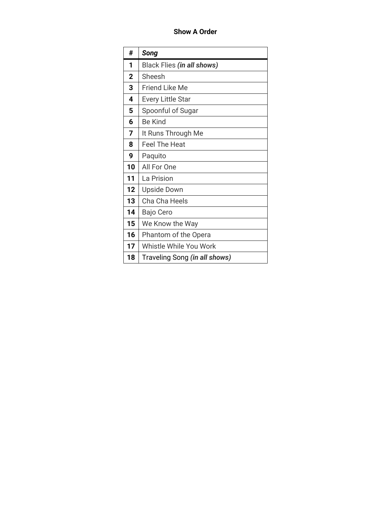## **Show A Order**

| #              | <b>Song</b>                   |
|----------------|-------------------------------|
| 1              | Black Flies (in all shows)    |
| $\overline{2}$ | Sheesh                        |
| 3              | Friend Like Me                |
| 4              | <b>Every Little Star</b>      |
| 5              | Spoonful of Sugar             |
| 6              | <b>Be Kind</b>                |
| 7              | It Runs Through Me            |
| 8              | <b>Feel The Heat</b>          |
| 9              | Paquito                       |
| 10             | All For One                   |
| 11             | La Prision                    |
| 12             | <b>Upside Down</b>            |
| 13             | Cha Cha Heels                 |
| 14             | Bajo Cero                     |
| 15             | We Know the Way               |
| 16             | Phantom of the Opera          |
| 17             | Whistle While You Work        |
| 18             | Traveling Song (in all shows) |